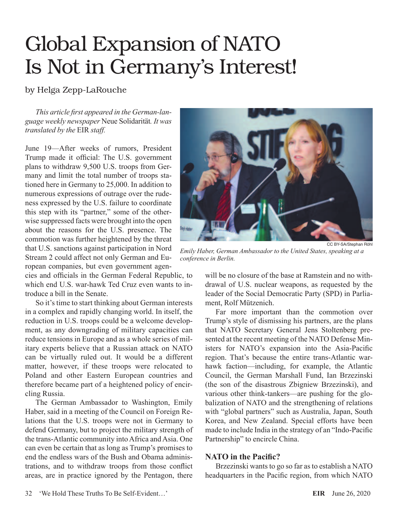## Global Expansion of NATO Is Not in Germany's Interest!

by Helga Zepp-LaRouche

*This article first appeared in the German-language weekly newspaper* Neue Solidarität*. It was translated by the* EIR *staff.*

June 19—After weeks of rumors, President Trump made it official: The U.S. government plans to withdraw 9,500 U.S. troops from Germany and limit the total number of troops stationed here in Germany to 25,000. In addition to numerous expressions of outrage over the rudeness expressed by the U.S. failure to coordinate this step with its "partner," some of the otherwise suppressed facts were brought into the open about the reasons for the U.S. presence. The commotion was further heightened by the threat that U.S. sanctions against participation in Nord Stream 2 could affect not only German and European companies, but even government agen-

cies and officials in the German Federal Republic, to which end U.S. war-hawk Ted Cruz even wants to introduce a bill in the Senate.

So it's time to start thinking about German interests in a complex and rapidly changing world. In itself, the reduction in U.S. troops could be a welcome development, as any downgrading of military capacities can reduce tensions in Europe and as a whole series of military experts believe that a Russian attack on NATO can be virtually ruled out. It would be a different matter, however, if these troops were relocated to Poland and other Eastern European countries and therefore became part of a heightened policy of encircling Russia.

The German Ambassador to Washington, Emily Haber, said in a meeting of the Council on Foreign Relations that the U.S. troops were not in Germany to defend Germany, but to project the military strength of the trans-Atlantic community into Africa and Asia. One can even be certain that as long as Trump's promises to end the endless wars of the Bush and Obama administrations, and to withdraw troops from those conflict areas, are in practice ignored by the Pentagon, there



*Emily Haber, German Ambassador to the United States, speaking at a conference in Berlin.*

will be no closure of the base at Ramstein and no withdrawal of U.S. nuclear weapons, as requested by the leader of the Social Democratic Party (SPD) in Parliament, Rolf Mützenich.

Far more important than the commotion over Trump's style of dismissing his partners, are the plans that NATO Secretary General Jens Stoltenberg presented at the recent meeting of the NATO Defense Ministers for NATO's expansion into the Asia-Pacific region. That's because the entire trans-Atlantic warhawk faction—including, for example, the Atlantic Council, the German Marshall Fund, Ian Brzezinski (the son of the disastrous Zbigniew Brzezinski), and various other think-tankers—are pushing for the globalization of NATO and the strengthening of relations with "global partners" such as Australia, Japan, South Korea, and New Zealand. Special efforts have been made to include India in the strategy of an "Indo-Pacific Partnership" to encircle China.

## **NATO in the Pacific?**

Brzezinski wants to go so far as to establish a NATO headquarters in the Pacific region, from which NATO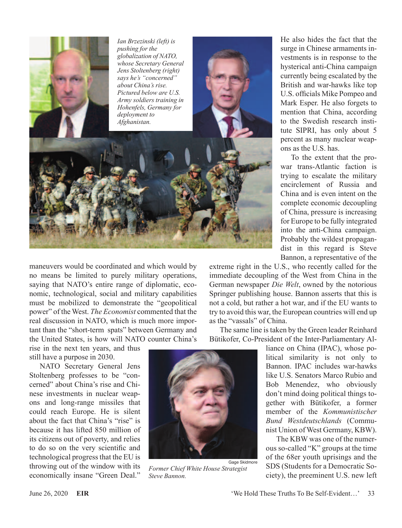

maneuvers would be coordinated and which would by no means be limited to purely military operations, saying that NATO's entire range of diplomatic, economic, technological, social and military capabilities must be mobilized to demonstrate the "geopolitical power" of the West. *The Economist* commented that the real discussion in NATO, which is much more important than the "short-term spats" between Germany and the United States, is how will NATO counter China's

rise in the next ten years, and thus still have a purpose in 2030.

NATO Secretary General Jens Stoltenberg professes to be "concerned" about China's rise and Chinese investments in nuclear weapons and long-range missiles that could reach Europe. He is silent about the fact that China's "rise" is because it has lifted 850 million of its citizens out of poverty, and relies to do so on the very scientific and technological progress that the EU is throwing out of the window with its economically insane "Green Deal."



*Former Chief White House Strategist Steve Bannon.*

He also hides the fact that the surge in Chinese armaments investments is in response to the hysterical anti-China campaign currently being escalated by the British and war-hawks like top U.S. officials Mike Pompeo and Mark Esper. He also forgets to mention that China, according to the Swedish research institute SIPRI, has only about 5 percent as many nuclear weapons as the U.S. has.

To the extent that the prowar trans-Atlantic faction is trying to escalate the military encirclement of Russia and China and is even intent on the complete economic decoupling of China, pressure is increasing for Europe to be fully integrated into the anti-China campaign. Probably the wildest propagandist in this regard is Steve Bannon, a representative of the

extreme right in the U.S., who recently called for the immediate decoupling of the West from China in the German newspaper *Die Welt*, owned by the notorious Springer publishing house. Bannon asserts that this is not a cold, but rather a hot war, and if the EU wants to try to avoid this war, the European countries will end up as the "vassals" of China.

The same line is taken by the Green leader Reinhard Bütikofer, Co-President of the Inter-Parliamentary Al-

> liance on China (IPAC), whose political similarity is not only to Bannon. IPAC includes war-hawks like U.S. Senators Marco Rubio and Bob Menendez, who obviously don't mind doing political things together with Bütikofer, a former member of the *Kommunistischer Bund Westdeutschlands* (Communist Union of West Germany, KBW).

> The KBW was one of the numerous so-called "K" groups at the time of the 68er youth uprisings and the SDS (Students for a Democratic Society), the preeminent U.S. new left